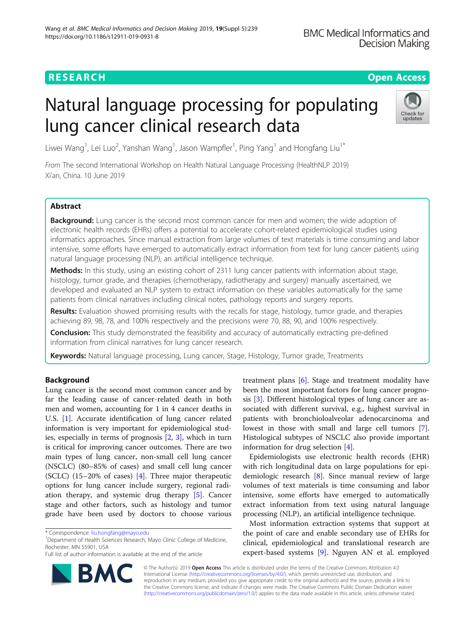# **RESEARCH CHEAR CHEAR CHEAR CHEAR CHEAR CHEAP CONTROL**

# Natural language processing for populating lung cancer clinical research data



Liwei Wang<sup>1</sup>, Lei Luo<sup>2</sup>, Yanshan Wang<sup>1</sup>, Jason Wampfler<sup>1</sup>, Ping Yang<sup>1</sup> and Hongfang Liu<sup>1\*</sup>

From The second International Workshop on Health Natural Language Processing (HealthNLP 2019) Xi'an, China. 10 June 2019

# **Abstract**

Background: Lung cancer is the second most common cancer for men and women; the wide adoption of electronic health records (EHRs) offers a potential to accelerate cohort-related epidemiological studies using informatics approaches. Since manual extraction from large volumes of text materials is time consuming and labor intensive, some efforts have emerged to automatically extract information from text for lung cancer patients using natural language processing (NLP), an artificial intelligence technique.

**Methods:** In this study, using an existing cohort of 2311 lung cancer patients with information about stage, histology, tumor grade, and therapies (chemotherapy, radiotherapy and surgery) manually ascertained, we developed and evaluated an NLP system to extract information on these variables automatically for the same patients from clinical narratives including clinical notes, pathology reports and surgery reports.

Results: Evaluation showed promising results with the recalls for stage, histology, tumor grade, and therapies achieving 89, 98, 78, and 100% respectively and the precisions were 70, 88, 90, and 100% respectively.

**Conclusion:** This study demonstrated the feasibility and accuracy of automatically extracting pre-defined information from clinical narratives for lung cancer research.

Keywords: Natural language processing, Lung cancer, Stage, Histology, Tumor grade, Treatments

# Background

Lung cancer is the second most common cancer and by far the leading cause of cancer-related death in both men and women, accounting for 1 in 4 cancer deaths in U.S. [\[1\]](#page-8-0). Accurate identification of lung cancer related information is very important for epidemiological studies, especially in terms of prognosis [[2,](#page-8-0) [3](#page-8-0)], which in turn is critical for improving cancer outcomes. There are two main types of lung cancer, non-small cell lung cancer (NSCLC) (80–85% of cases) and small cell lung cancer (SCLC) (15–20% of cases) [[4\]](#page-8-0). Three major therapeutic options for lung cancer include surgery, regional radiation therapy, and systemic drug therapy [[5\]](#page-8-0). Cancer stage and other factors, such as histology and tumor grade have been used by doctors to choose various

RA

<sup>1</sup>Department of Health Sciences Research, Mayo Clinic College of Medicine, Rochester, MN 55901, USA



Epidemiologists use electronic health records (EHR) with rich longitudinal data on large populations for epidemiologic research [[8\]](#page-8-0). Since manual review of large volumes of text materials is time consuming and labor intensive, some efforts have emerged to automatically extract information from text using natural language processing (NLP), an artificial intelligence technique.

Most information extraction systems that support at the point of care and enable secondary use of EHRs for clinical, epidemiological and translational research are expert-based systems [\[9](#page-8-0)]. Nguyen AN et al. employed



<sup>\*</sup> Correspondence: [liu.hongfang@mayo.edu](mailto:liu.hongfang@mayo.edu) <sup>1</sup>

Full list of author information is available at the end of the article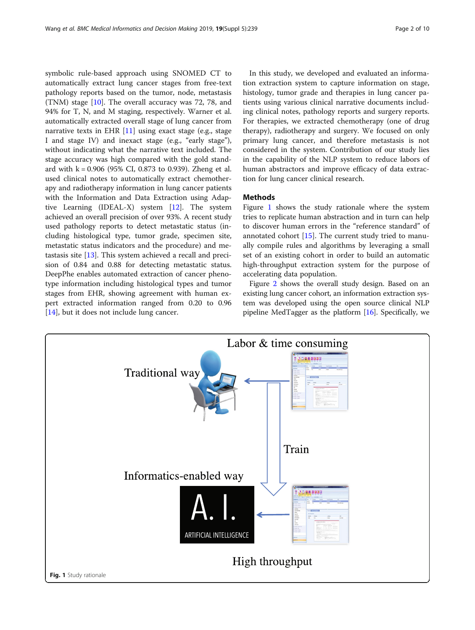symbolic rule-based approach using SNOMED CT to automatically extract lung cancer stages from free-text pathology reports based on the tumor, node, metastasis (TNM) stage [\[10\]](#page-8-0). The overall accuracy was 72, 78, and 94% for T, N, and M staging, respectively. Warner et al. automatically extracted overall stage of lung cancer from narrative texts in EHR [[11\]](#page-8-0) using exact stage (e.g., stage I and stage IV) and inexact stage (e.g., "early stage"), without indicating what the narrative text included. The stage accuracy was high compared with the gold standard with  $k = 0.906$  (95% CI, 0.873 to 0.939). Zheng et al. used clinical notes to automatically extract chemotherapy and radiotherapy information in lung cancer patients with the Information and Data Extraction using Adaptive Learning (IDEAL-X) system [\[12](#page-8-0)]. The system achieved an overall precision of over 93%. A recent study used pathology reports to detect metastatic status (including histological type, tumor grade, specimen site, metastatic status indicators and the procedure) and metastasis site [[13](#page-8-0)]. This system achieved a recall and precision of 0.84 and 0.88 for detecting metastatic status. DeepPhe enables automated extraction of cancer phenotype information including histological types and tumor stages from EHR, showing agreement with human expert extracted information ranged from 0.20 to 0.96 [[14\]](#page-8-0), but it does not include lung cancer.

In this study, we developed and evaluated an information extraction system to capture information on stage, histology, tumor grade and therapies in lung cancer patients using various clinical narrative documents including clinical notes, pathology reports and surgery reports. For therapies, we extracted chemotherapy (one of drug therapy), radiotherapy and surgery. We focused on only primary lung cancer, and therefore metastasis is not considered in the system. Contribution of our study lies in the capability of the NLP system to reduce labors of human abstractors and improve efficacy of data extraction for lung cancer clinical research.

#### Methods

Figure 1 shows the study rationale where the system tries to replicate human abstraction and in turn can help to discover human errors in the "reference standard" of annotated cohort [[15\]](#page-8-0). The current study tried to manually compile rules and algorithms by leveraging a small set of an existing cohort in order to build an automatic high-throughput extraction system for the purpose of accelerating data population.

Figure [2](#page-2-0) shows the overall study design. Based on an existing lung cancer cohort, an information extraction system was developed using the open source clinical NLP pipeline MedTagger as the platform  $[16]$ . Specifically, we

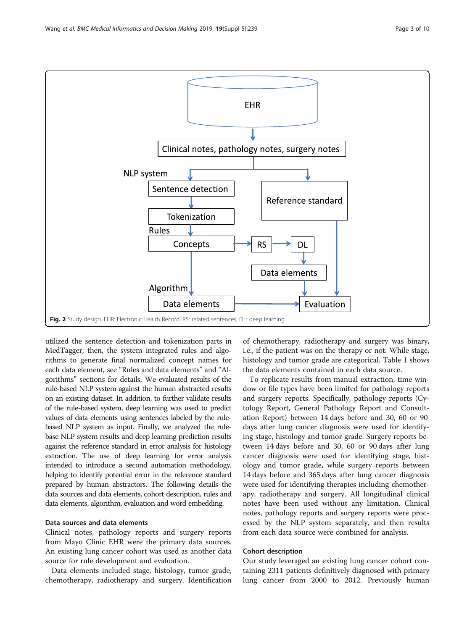<span id="page-2-0"></span>

utilized the sentence detection and tokenization parts in MedTagger; then, the system integrated rules and algorithms to generate final normalized concept names for each data element, see "Rules and data elements" and "Algorithms" sections for details. We evaluated results of the rule-based NLP system against the human abstracted results on an existing dataset. In addition, to further validate results of the rule-based system, deep learning was used to predict values of data elements using sentences labeled by the rulebased NLP system as input. Finally, we analyzed the rulebase NLP system results and deep learning prediction results against the reference standard in error analysis for histology extraction. The use of deep learning for error analysis intended to introduce a second automation methodology, helping to identify potential error in the reference standard prepared by human abstractors. The following details the data sources and data elements, cohort description, rules and data elements, algorithm, evaluation and word embedding.

# Data sources and data elements

Clinical notes, pathology reports and surgery reports from Mayo Clinic EHR were the primary data sources. An existing lung cancer cohort was used as another data source for rule development and evaluation.

Data elements included stage, histology, tumor grade, chemotherapy, radiotherapy and surgery. Identification

of chemotherapy, radiotherapy and surgery was binary, i.e., if the patient was on the therapy or not. While stage, histology and tumor grade are categorical. Table [1](#page-3-0) shows the data elements contained in each data source.

To replicate results from manual extraction, time window or file types have been limited for pathology reports and surgery reports. Specifically, pathology reports (Cytology Report, General Pathology Report and Consultation Report) between 14 days before and 30, 60 or 90 days after lung cancer diagnosis were used for identifying stage, histology and tumor grade. Surgery reports between 14 days before and 30, 60 or 90 days after lung cancer diagnosis were used for identifying stage, histology and tumor grade, while surgery reports between 14 days before and 365 days after lung cancer diagnosis were used for identifying therapies including chemotherapy, radiotherapy and surgery. All longitudinal clinical notes have been used without any limitation. Clinical notes, pathology reports and surgery reports were processed by the NLP system separately, and then results from each data source were combined for analysis.

### Cohort description

Our study leveraged an existing lung cancer cohort containing 2311 patients definitively diagnosed with primary lung cancer from 2000 to 2012. Previously human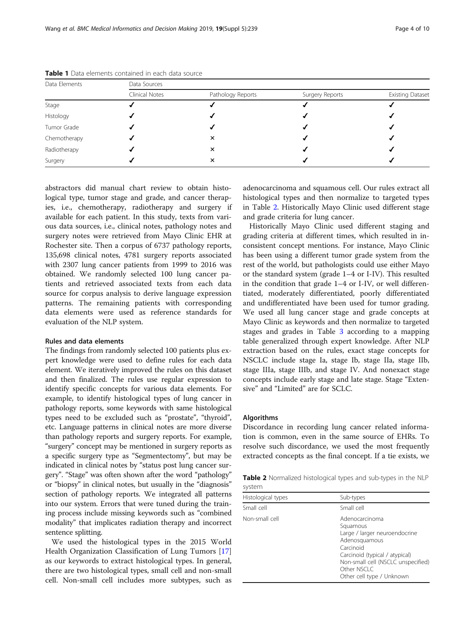| Data Elements | Data Sources   |                   |                 |                         |  |
|---------------|----------------|-------------------|-----------------|-------------------------|--|
|               | Clinical Notes | Pathology Reports | Surgery Reports | <b>Existing Dataset</b> |  |
| Stage         |                |                   |                 |                         |  |
| Histology     |                |                   |                 |                         |  |
| Tumor Grade   |                |                   |                 |                         |  |
| Chemotherapy  |                | ×                 |                 |                         |  |
| Radiotherapy  |                | ×                 |                 |                         |  |
| Surgery       |                | ×                 |                 |                         |  |

<span id="page-3-0"></span>Table 1 Data elements contained in each data source

abstractors did manual chart review to obtain histological type, tumor stage and grade, and cancer therapies, i.e., chemotherapy, radiotherapy and surgery if available for each patient. In this study, texts from various data sources, i.e., clinical notes, pathology notes and surgery notes were retrieved from Mayo Clinic EHR at Rochester site. Then a corpus of 6737 pathology reports, 135,698 clinical notes, 4781 surgery reports associated with 2307 lung cancer patients from 1999 to 2016 was obtained. We randomly selected 100 lung cancer patients and retrieved associated texts from each data source for corpus analysis to derive language expression patterns. The remaining patients with corresponding data elements were used as reference standards for evaluation of the NLP system.

### Rules and data elements

The findings from randomly selected 100 patients plus expert knowledge were used to define rules for each data element. We iteratively improved the rules on this dataset and then finalized. The rules use regular expression to identify specific concepts for various data elements. For example, to identify histological types of lung cancer in pathology reports, some keywords with same histological types need to be excluded such as "prostate", "thyroid", etc. Language patterns in clinical notes are more diverse than pathology reports and surgery reports. For example, "surgery" concept may be mentioned in surgery reports as a specific surgery type as "Segmentectomy", but may be indicated in clinical notes by "status post lung cancer surgery". "Stage" was often shown after the word "pathology" or "biopsy" in clinical notes, but usually in the "diagnosis" section of pathology reports. We integrated all patterns into our system. Errors that were tuned during the training process include missing keywords such as "combined modality" that implicates radiation therapy and incorrect sentence splitting.

We used the histological types in the 2015 World Health Organization Classification of Lung Tumors [[17](#page-8-0)] as our keywords to extract histological types. In general, there are two histological types, small cell and non-small cell. Non-small cell includes more subtypes, such as

adenocarcinoma and squamous cell. Our rules extract all histological types and then normalize to targeted types in Table 2. Historically Mayo Clinic used different stage and grade criteria for lung cancer.

Historically Mayo Clinic used different staging and grading criteria at different times, which resulted in inconsistent concept mentions. For instance, Mayo Clinic has been using a different tumor grade system from the rest of the world, but pathologists could use either Mayo or the standard system (grade 1–4 or I-IV). This resulted in the condition that grade 1–4 or I-IV, or well differentiated, moderately differentiated, poorly differentiated and undifferentiated have been used for tumor grading. We used all lung cancer stage and grade concepts at Mayo Clinic as keywords and then normalize to targeted stages and grades in Table [3](#page-4-0) according to a mapping table generalized through expert knowledge. After NLP extraction based on the rules, exact stage concepts for NSCLC include stage Ia, stage Ib, stage IIa, stage IIb, stage IIIa, stage IIIb, and stage IV. And nonexact stage concepts include early stage and late stage. Stage "Extensive" and "Limited" are for SCLC.

#### Algorithms

Discordance in recording lung cancer related information is common, even in the same source of EHRs. To resolve such discordance, we used the most frequently extracted concepts as the final concept. If a tie exists, we

Table 2 Normalized histological types and sub-types in the NLP system

| Histological types | Sub-types                                                                                                                                                                                                     |
|--------------------|---------------------------------------------------------------------------------------------------------------------------------------------------------------------------------------------------------------|
| Small cell         | Small cell                                                                                                                                                                                                    |
| Non-small cell     | Adenocarcinoma<br>Squamous<br>Large / larger neuroendocrine<br>Adenosquamous<br>Carcinoid<br>Carcinoid (typical / atypical)<br>Non-small cell (NSCLC unspecified)<br>Other NSCLC<br>Other cell type / Unknown |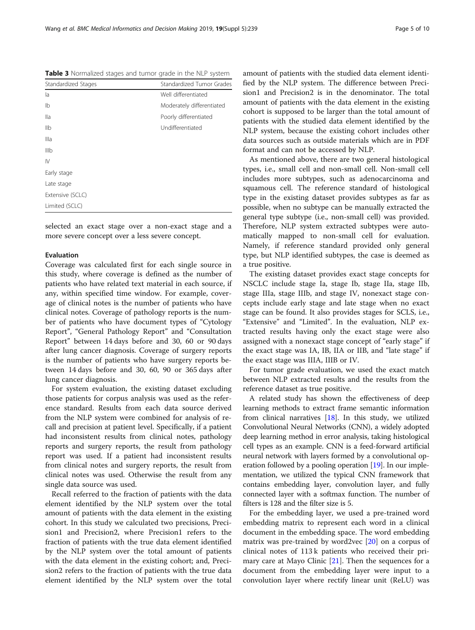<span id="page-4-0"></span>Wang et al. BMC Medical Informatics and Decision Making 2019, 19(Suppl 5):239 Page 5 of 10

Table 3 Normalized stages and tumor grade in the NLP system

| Standardized Stages | Standardized Tumor Grades |
|---------------------|---------------------------|
| la                  | Well differentiated       |
| Ib                  | Moderately differentiated |
| lla                 | Poorly differentiated     |
| I <sub>1</sub>      | Undifferentiated          |
| Illa                |                           |
| Illb                |                           |
| IV                  |                           |
| Early stage         |                           |
| Late stage          |                           |
| Extensive (SCLC)    |                           |
| Limited (SCLC)      |                           |

selected an exact stage over a non-exact stage and a more severe concept over a less severe concept.

#### Evaluation

Coverage was calculated first for each single source in this study, where coverage is defined as the number of patients who have related text material in each source, if any, within specified time window. For example, coverage of clinical notes is the number of patients who have clinical notes. Coverage of pathology reports is the number of patients who have document types of "Cytology Report", "General Pathology Report" and "Consultation Report" between 14 days before and 30, 60 or 90 days after lung cancer diagnosis. Coverage of surgery reports is the number of patients who have surgery reports between 14 days before and 30, 60, 90 or 365 days after lung cancer diagnosis.

For system evaluation, the existing dataset excluding those patients for corpus analysis was used as the reference standard. Results from each data source derived from the NLP system were combined for analysis of recall and precision at patient level. Specifically, if a patient had inconsistent results from clinical notes, pathology reports and surgery reports, the result from pathology report was used. If a patient had inconsistent results from clinical notes and surgery reports, the result from clinical notes was used. Otherwise the result from any single data source was used.

Recall referred to the fraction of patients with the data element identified by the NLP system over the total amount of patients with the data element in the existing cohort. In this study we calculated two precisions, Precision1 and Precision2, where Precision1 refers to the fraction of patients with the true data element identified by the NLP system over the total amount of patients with the data element in the existing cohort; and, Precision2 refers to the fraction of patients with the true data element identified by the NLP system over the total amount of patients with the studied data element identified by the NLP system. The difference between Precision1 and Precision2 is in the denominator. The total amount of patients with the data element in the existing cohort is supposed to be larger than the total amount of patients with the studied data element identified by the NLP system, because the existing cohort includes other data sources such as outside materials which are in PDF format and can not be accessed by NLP.

As mentioned above, there are two general histological types, i.e., small cell and non-small cell. Non-small cell includes more subtypes, such as adenocarcinoma and squamous cell. The reference standard of histological type in the existing dataset provides subtypes as far as possible, when no subtype can be manually extracted the general type subtype (i.e., non-small cell) was provided. Therefore, NLP system extracted subtypes were automatically mapped to non-small cell for evaluation. Namely, if reference standard provided only general type, but NLP identified subtypes, the case is deemed as a true positive.

The existing dataset provides exact stage concepts for NSCLC include stage Ia, stage Ib, stage IIa, stage IIb, stage IIIa, stage IIIb, and stage IV, nonexact stage concepts include early stage and late stage when no exact stage can be found. It also provides stages for SCLS, i.e., "Extensive" and "Limited". In the evaluation, NLP extracted results having only the exact stage were also assigned with a nonexact stage concept of "early stage" if the exact stage was IA, IB, IIA or IIB, and "late stage" if the exact stage was IIIA, IIIB or IV.

For tumor grade evaluation, we used the exact match between NLP extracted results and the results from the reference dataset as true positive.

A related study has shown the effectiveness of deep learning methods to extract frame semantic information from clinical narratives [\[18\]](#page-9-0). In this study, we utilized Convolutional Neural Networks (CNN), a widely adopted deep learning method in error analysis, taking histological cell types as an example. CNN is a feed-forward artificial neural network with layers formed by a convolutional operation followed by a pooling operation [[19](#page-9-0)]. In our implementation, we utilized the typical CNN framework that contains embedding layer, convolution layer, and fully connected layer with a softmax function. The number of filters is 128 and the filter size is 5.

For the embedding layer, we used a pre-trained word embedding matrix to represent each word in a clinical document in the embedding space. The word embedding matrix was pre-trained by word2vec [\[20](#page-9-0)] on a corpus of clinical notes of 113 k patients who received their primary care at Mayo Clinic  $[21]$  $[21]$ . Then the sequences for a document from the embedding layer were input to a convolution layer where rectify linear unit (ReLU) was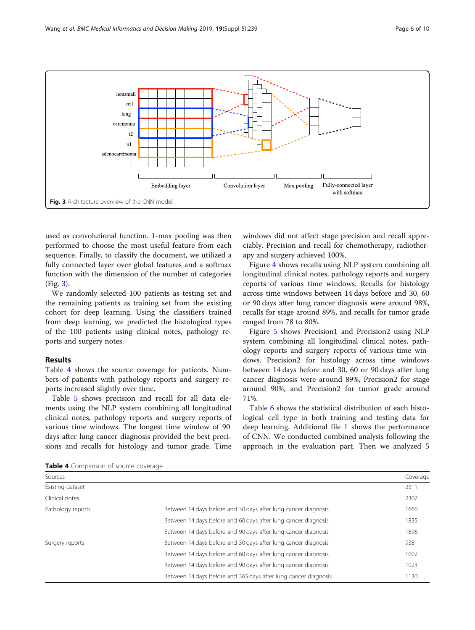

used as convolutional function. 1-max pooling was then performed to choose the most useful feature from each sequence. Finally, to classify the document, we utilized a fully connected layer over global features and a softmax function with the dimension of the number of categories (Fig. 3).

We randomly selected 100 patients as testing set and the remaining patients as training set from the existing cohort for deep learning. Using the classifiers trained from deep learning, we predicted the histological types of the 100 patients using clinical notes, pathology reports and surgery notes.

# Results

Table 4 shows the source coverage for patients. Numbers of patients with pathology reports and surgery reports increased slightly over time.

Table [5](#page-6-0) shows precision and recall for all data elements using the NLP system combining all longitudinal clinical notes, pathology reports and surgery reports of various time windows. The longest time window of 90 days after lung cancer diagnosis provided the best precisions and recalls for histology and tumor grade. Time windows did not affect stage precision and recall appreciably. Precision and recall for chemotherapy, radiotherapy and surgery achieved 100%.

Figure [4](#page-6-0) shows recalls using NLP system combining all longitudinal clinical notes, pathology reports and surgery reports of various time windows. Recalls for histology across time windows between 14 days before and 30, 60 or 90 days after lung cancer diagnosis were around 98%, recalls for stage around 89%, and recalls for tumor grade ranged from 78 to 80%.

Figure [5](#page-7-0) shows Precision1 and Precision2 using NLP system combining all longitudinal clinical notes, pathology reports and surgery reports of various time windows. Precision2 for histology across time windows between 14 days before and 30, 60 or 90 days after lung cancer diagnosis were around 89%, Precision2 for stage around 90%, and Precision2 for tumor grade around 71%.

Table [6](#page-7-0) shows the statistical distribution of each histological cell type in both training and testing data for deep learning. Additional file [1](#page-8-0) shows the performance of CNN. We conducted combined analysis following the approach in the evaluation part. Then we analyzed 5

| Table 4 Comparison of source coverage |  |  |  |  |  |  |
|---------------------------------------|--|--|--|--|--|--|
|---------------------------------------|--|--|--|--|--|--|

| Sources           |                                                                 | Coverage |
|-------------------|-----------------------------------------------------------------|----------|
| Existing dataset  |                                                                 | 2311     |
| Clinical notes    |                                                                 | 2307     |
| Pathology reports | Between 14 days before and 30 days after lung cancer diagnosis  | 1660     |
|                   | Between 14 days before and 60 days after lung cancer diagnosis  | 1835     |
|                   | Between 14 days before and 90 days after lung cancer diagnosis  | 1896     |
| Surgery reports   | Between 14 days before and 30 days after lung cancer diagnosis  | 938      |
|                   | Between 14 days before and 60 days after lung cancer diagnosis  | 1002     |
|                   | Between 14 days before and 90 days after lung cancer diagnosis  | 1023     |
|                   | Between 14 days before and 365 days after lung cancer diagnosis | 1130     |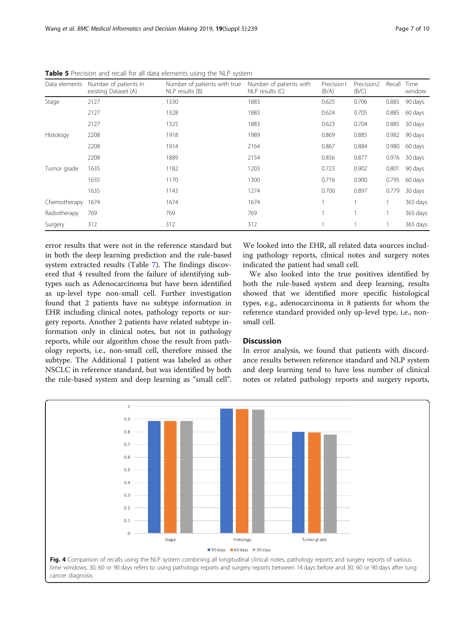| Data elements | Number of patients in<br>existing Dataset (A) | Number of patients with true<br>NLP results (B) | Number of patients with<br>$NLP$ results $(C)$ | Precision1<br>(B/A) | Precision <sub>2</sub><br>(B/C) | Recall | Time<br>window |
|---------------|-----------------------------------------------|-------------------------------------------------|------------------------------------------------|---------------------|---------------------------------|--------|----------------|
| Stage         | 2127                                          | 1330                                            | 1883                                           | 0.625               | 0.706                           | 0.885  | 90 days        |
|               | 2127                                          | 1328                                            | 1883                                           | 0.624               | 0.705                           | 0.885  | 60 days        |
|               | 2127                                          | 1325                                            | 1883                                           | 0.623               | 0.704                           | 0.885  | 30 days        |
| Histology     | 2208                                          | 1918                                            | 1989                                           | 0.869               | 0.885                           | 0.982  | 90 days        |
|               | 2208                                          | 1914                                            | 2164                                           | 0.867               | 0.884                           | 0.980  | 60 days        |
|               | 2208                                          | 1889                                            | 2154                                           | 0.856               | 0.877                           | 0.976  | 30 days        |
| Tumor grade   | 1635                                          | 1182                                            | 1203                                           | 0.723               | 0.902                           | 0.801  | 90 days        |
|               | 1635                                          | 1170                                            | 1300                                           | 0.716               | 0.900                           | 0.795  | 60 days        |
|               | 1635                                          | 1143                                            | 1274                                           | 0.700               | 0.897                           | 0.779  | 30 days        |
| Chemotherapy  | 1674                                          | 1674                                            | 1674                                           |                     |                                 |        | 365 days       |
| Radiotherapy  | 769                                           | 769                                             | 769                                            |                     |                                 |        | 365 days       |
| Surgery       | 312                                           | 312                                             | 312                                            |                     |                                 |        | 365 days       |

<span id="page-6-0"></span>Table 5 Precision and recall for all data elements using the NLP system

error results that were not in the reference standard but in both the deep learning prediction and the rule-based system extracted results (Table [7\)](#page-7-0). The findings discovered that 4 resulted from the failure of identifying subtypes such as Adenocarcinoma but have been identified as up-level type non-small cell. Further investigation found that 2 patients have no subtype information in EHR including clinical notes, pathology reports or surgery reports. Another 2 patients have related subtype information only in clinical notes, but not in pathology reports, while our algorithm chose the result from pathology reports, i.e., non-small cell, therefore missed the subtype. The Additional 1 patient was labeled as other NSCLC in reference standard, but was identified by both the rule-based system and deep learning as "small cell".

We looked into the EHR, all related data sources including pathology reports, clinical notes and surgery notes indicated the patient had small cell.

We also looked into the true positives identified by both the rule-based system and deep learning, results showed that we identified more specific histological types, e.g., adenocarcinoma in 8 patients for whom the reference standard provided only up-level type, i.e., nonsmall cell.

## **Discussion**

In error analysis, we found that patients with discordance results between reference standard and NLP system and deep learning tend to have less number of clinical notes or related pathology reports and surgery reports,



cancer diagnosis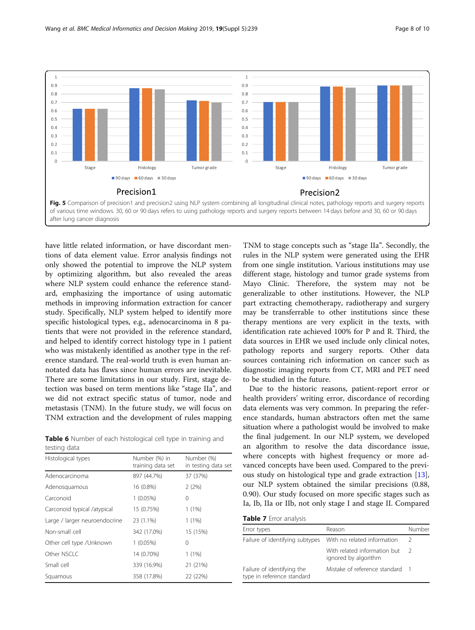<span id="page-7-0"></span>

have little related information, or have discordant mentions of data element value. Error analysis findings not only showed the potential to improve the NLP system by optimizing algorithm, but also revealed the areas where NLP system could enhance the reference standard, emphasizing the importance of using automatic methods in improving information extraction for cancer study. Specifically, NLP system helped to identify more specific histological types, e.g., adenocarcinoma in 8 patients that were not provided in the reference standard, and helped to identify correct histology type in 1 patient who was mistakenly identified as another type in the reference standard. The real-world truth is even human annotated data has flaws since human errors are inevitable. There are some limitations in our study. First, stage detection was based on term mentions like "stage IIa", and we did not extract specific status of tumor, node and metastasis (TNM). In the future study, we will focus on TNM extraction and the development of rules mapping

Table 6 Number of each histological cell type in training and testing data

| Histological types            | Number (%) in<br>training data set | Number (%)<br>in testing data set |  |
|-------------------------------|------------------------------------|-----------------------------------|--|
| Adenocarcinoma                | 897 (44.7%)                        | 37 (37%)                          |  |
| Adenosquamous                 | 16 (0.8%)                          | 2(2%)                             |  |
| Carconoid                     | $1(0.05\%)$                        | 0                                 |  |
| Carconoid typical /atypical   | 15 (0.75%)                         | 1(1%)                             |  |
| Large / larger neuroendocrine | 23 (1.1%)                          | 1(1%)                             |  |
| Non-small cell                | 342 (17.0%)                        | 15 (15%)                          |  |
| Other cell type /Unknown      | $1(0.05\%)$                        | 0                                 |  |
| Other NSCLC                   | 14 (0.70%)                         | 1(1%)                             |  |
| Small cell                    | 339 (16.9%)                        | 21 (21%)                          |  |
| Squamous                      | 358 (17.8%)                        | 22 (22%)                          |  |

TNM to stage concepts such as "stage IIa". Secondly, the rules in the NLP system were generated using the EHR from one single institution. Various institutions may use different stage, histology and tumor grade systems from Mayo Clinic. Therefore, the system may not be generalizable to other institutions. However, the NLP part extracting chemotherapy, radiotherapy and surgery may be transferrable to other institutions since these therapy mentions are very explicit in the texts, with identification rate achieved 100% for P and R. Third, the data sources in EHR we used include only clinical notes, pathology reports and surgery reports. Other data sources containing rich information on cancer such as diagnostic imaging reports from CT, MRI and PET need to be studied in the future.

Due to the historic reasons, patient-report error or health providers' writing error, discordance of recording data elements was very common. In preparing the reference standards, human abstractors often met the same situation where a pathologist would be involved to make the final judgement. In our NLP system, we developed an algorithm to resolve the data discordance issue, where concepts with highest frequency or more advanced concepts have been used. Compared to the previous study on histological type and grade extraction [\[13](#page-8-0)], our NLP system obtained the similar precisions (0.88, 0.90). Our study focused on more specific stages such as Ia, Ib, IIa or IIb, not only stage I and stage II. Compared

| Table 7 Error analysis |  |  |  |
|------------------------|--|--|--|
|------------------------|--|--|--|

| Error types                                              | Reason                                               | Number |
|----------------------------------------------------------|------------------------------------------------------|--------|
| Failure of identifying subtypes                          | With no related information                          |        |
|                                                          | With related information but<br>ignored by algorithm |        |
| Failure of identifying the<br>type in reference standard | Mistake of reference standard                        |        |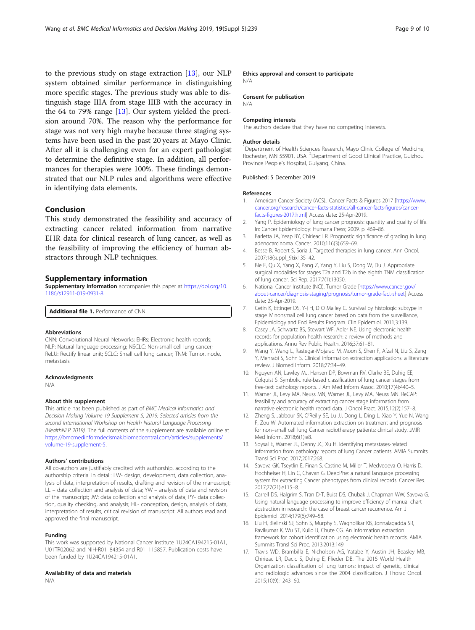<span id="page-8-0"></span>to the previous study on stage extraction [13], our NLP system obtained similar performance in distinguishing more specific stages. The previous study was able to distinguish stage IIIA from stage IIIB with the accuracy in the 64 to 79% range  $[13]$ . Our system yielded the precision around 70%. The reason why the performance for stage was not very high maybe because three staging systems have been used in the past 20 years at Mayo Clinic. After all it is challenging even for an expert pathologist to determine the definitive stage. In addition, all performances for therapies were 100%. These findings demonstrated that our NLP rules and algorithms were effective in identifying data elements.

# Conclusion

This study demonstrated the feasibility and accuracy of extracting cancer related information from narrative EHR data for clinical research of lung cancer, as well as the feasibility of improving the efficiency of human abstractors through NLP techniques.

#### Supplementary information

Supplementary information accompanies this paper at [https://doi.org/10.](https://doi.org/10.1186/s12911-019-0931-8) [1186/s12911-019-0931-8.](https://doi.org/10.1186/s12911-019-0931-8)

Additional file 1. Performance of CNN.

#### Abbreviations

CNN: Convolutional Neural Networks; EHRs: Electronic health records; NLP: Natural language processing; NSCLC: Non-small cell lung cancer; ReLU: Rectify linear unit; SCLC: Small cell lung cancer; TNM: Tumor, node, metastasis

#### Acknowledgments

N/A

#### About this supplement

This article has been published as part of BMC Medical Informatics and Decision Making Volume 19 Supplement 5, 2019: Selected articles from the second International Workshop on Health Natural Language Processing (HealthNLP 2019). The full contents of the supplement are available online at [https://bmcmedinformdecismak.biomedcentral.com/articles/supplements/](https://bmcmedinformdecismak.biomedcentral.com/articles/supplements/volume-19-supplement-5) [volume-19-supplement-5](https://bmcmedinformdecismak.biomedcentral.com/articles/supplements/volume-19-supplement-5).

#### Authors' contributions

All co-authors are justifiably credited with authorship, according to the authorship criteria. In detail: LW- design, development, data collection, analysis of data, interpretation of results, drafting and revision of the manuscript; LL – data collection and analysis of data; YW – analysis of data and revision of the manuscript; JW: data collection and analysis of data; PY- data collection, quality checking, and analysis; HL- conception, design, analysis of data, interpretation of results, critical revision of manuscript. All authors read and approved the final manuscript.

#### Funding

This work was supported by National Cancer Institute 1U24CA194215-01A1, U01TR02062 and NIH-R01–84354 and R01–115857. Publication costs have been funded by 1U24CA194215-01A1.

#### Availability of data and materials

N/A

#### Ethics approval and consent to participate N/A

#### Consent for publication

N/A

#### Competing interests

The authors declare that they have no competing interests.

#### Author details

<sup>1</sup>Department of Health Sciences Research, Mayo Clinic College of Medicine, Rochester, MN 55901, USA. <sup>2</sup> Department of Good Clinical Practice, Guizhou Province People's Hospital, Guiyang, China.

#### Published: 5 December 2019

#### References

- American Cancer Society (ACS).. Cancer Facts & Figures 2017 [\[https://www.](https://www.cancer.org/research/cancer-facts-statistics/all-cancer-facts-figures/cancer-facts-figures-2017.html) [cancer.org/research/cancer-facts-statistics/all-cancer-facts-figures/cancer](https://www.cancer.org/research/cancer-facts-statistics/all-cancer-facts-figures/cancer-facts-figures-2017.html)[facts-figures-2017.html\]](https://www.cancer.org/research/cancer-facts-statistics/all-cancer-facts-figures/cancer-facts-figures-2017.html) Access date: 25-Apr-2019.
- 2. Yang P. Epidemiology of lung cancer prognosis: quantity and quality of life. In: Cancer Epidemiology: Humana Press; 2009. p. 469–86.
- 3. Barletta JA, Yeap BY, Chirieac LR. Prognostic significance of grading in lung adenocarcinoma. Cancer. 2010;116(3):659–69.
- 4. Besse B, Ropert S, Soria J. Targeted therapies in lung cancer. Ann Oncol. 2007;18(suppl\_9):ix135–42.
- 5. Bie F, Qu X, Yang X, Pang Z, Yang Y, Liu S, Dong W, Du J. Appropriate surgical modalities for stages T2a and T2b in the eighth TNM classification of lung cancer. Sci Rep. 2017;7(1):13050.
- 6. National Cancer Institute (NCI). Tumor Grade [[https://www.cancer.gov/](https://www.cancer.gov/about-cancer/diagnosis-staging/prognosis/tumor-grade-fact-sheet) [about-cancer/diagnosis-staging/prognosis/tumor-grade-fact-sheet\]](https://www.cancer.gov/about-cancer/diagnosis-staging/prognosis/tumor-grade-fact-sheet) Access date: 25-Apr-2019.
- 7. Cetin K, Ettinger DS, Y-j H, D O Malley C. Survival by histologic subtype in stage IV nonsmall cell lung cancer based on data from the surveillance, Epidemiology and End Results Program. Clin Epidemiol. 2011;3:139.
- 8. Casey JA, Schwartz BS, Stewart WF, Adler NE. Using electronic health records for population health research: a review of methods and applications. Annu Rev Public Health. 2016;37:61–81.
- 9. Wang Y, Wang L, Rastegar-Mojarad M, Moon S, Shen F, Afzal N, Liu S, Zeng Y, Mehrabi S, Sohn S. Clinical information extraction applications: a literature review. J Biomed Inform. 2018;77:34–49.
- 10. Nguyen AN, Lawley MJ, Hansen DP, Bowman RV, Clarke BE, Duhig EE, Colquist S. Symbolic rule-based classification of lung cancer stages from free-text pathology reports. J Am Med Inform Assoc. 2010;17(4):440–5.
- 11. Warner JL, Levy MA, Neuss MN, Warner JL, Levy MA, Neuss MN. ReCAP: feasibility and accuracy of extracting cancer stage information from narrative electronic health record data. J Oncol Pract. 2015;12(2):157–8.
- 12. Zheng S, Jabbour SK, O'Reilly SE, Lu JJ, Dong L, Ding L, Xiao Y, Yue N, Wang F, Zou W. Automated information extraction on treatment and prognosis for non–small cell lung Cancer radiotherapy patients: clinical study. JMIR Med Inform. 2018;6(1):e8.
- 13. Soysal E, Warner JL, Denny JC, Xu H. Identifying metastases-related information from pathology reports of lung Cancer patients. AMIA Summits Transl Sci Proc. 2017;2017:268.
- 14. Savova GK, Tseytlin E, Finan S, Castine M, Miller T, Medvedeva O, Harris D, Hochheiser H, Lin C, Chavan G. DeepPhe: a natural language processing system for extracting Cancer phenotypes from clinical records. Cancer Res. 2017;77(21):e115–8.
- 15. Carrell DS, Halgrim S, Tran D-T, Buist DS, Chubak J, Chapman WW, Savova G. Using natural language processing to improve efficiency of manual chart abstraction in research: the case of breast cancer recurrence. Am J Epidemiol. 2014;179(6):749–58.
- 16. Liu H, Bielinski SJ, Sohn S, Murphy S, Wagholikar KB, Jonnalagadda SR, Ravikumar K, Wu ST, Kullo IJ, Chute CG. An information extraction framework for cohort identification using electronic health records. AMIA Summits Transl Sci Proc. 2013;2013:149.
- 17. Travis WD, Brambilla E, Nicholson AG, Yatabe Y, Austin JH, Beasley MB, Chirieac LR, Dacic S, Duhig E, Flieder DB. The 2015 World Health Organization classification of lung tumors: impact of genetic, clinical and radiologic advances since the 2004 classification. J Thorac Oncol. 2015;10(9):1243–60.